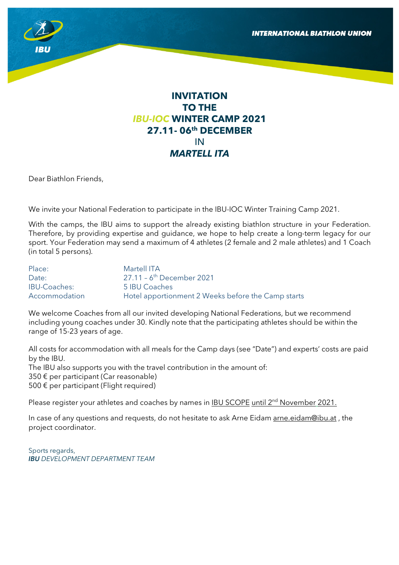

# **INVITATION TO THE**  *IBU-IOC* **WINTER CAMP 2021 27.11- 06th DECEMBER**  IN *MARTELL ITA*

Dear Biathlon Friends,

We invite your National Federation to participate in the IBU-IOC Winter Training Camp 2021.

With the camps, the IBU aims to support the already existing biathlon structure in your Federation. Therefore, by providing expertise and guidance, we hope to help create a long-term legacy for our sport. Your Federation may send a maximum of 4 athletes (2 female and 2 male athletes) and 1 Coach (in total 5 persons).

| Place:              | Martell ITA                                        |
|---------------------|----------------------------------------------------|
| Date:               | $27.11 - 6$ <sup>th</sup> December 2021            |
| <b>IBU-Coaches:</b> | 5 IBU Coaches                                      |
| Accommodation       | Hotel apportionment 2 Weeks before the Camp starts |

We welcome Coaches from all our invited developing National Federations, but we recommend including young coaches under 30. Kindly note that the participating athletes should be within the range of 15-23 years of age.

All costs for accommodation with all meals for the Camp days (see "Date") and experts' costs are paid by the IBU. The IBU also supports you with the travel contribution in the amount of: 350 € per participant (Car reasonable) 500 € per participant (Flight required)

Please register your athletes and coaches by names in **IBU SCOPE** until 2<sup>nd</sup> November 2021.

In case of any questions and requests, do not hesitate to ask Arne Eidam arne.eidam@ibu.at, the project coordinator.

Sports regards, *IBU DEVELOPMENT DEPARTMENT TEAM*